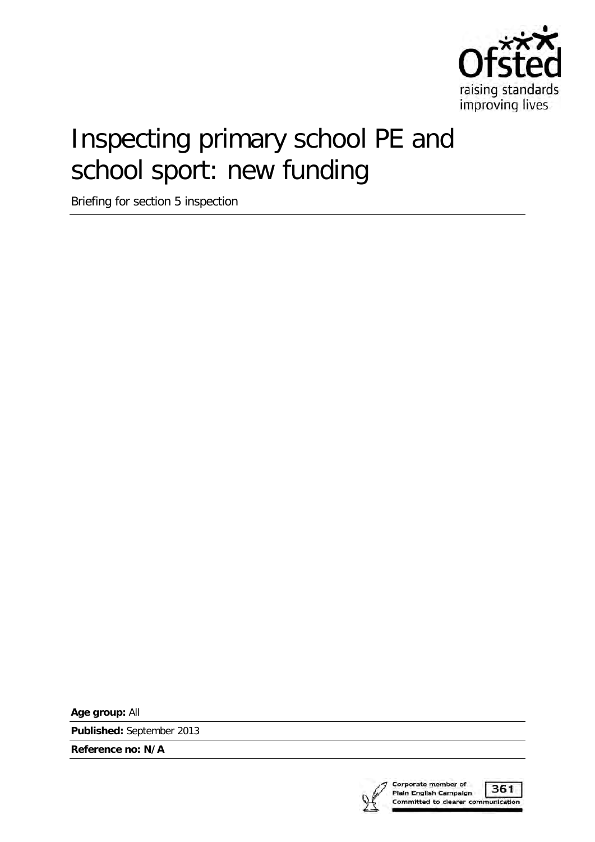

# Inspecting primary school PE and school sport: new funding

Briefing for section 5 inspection

**Age group:** All

**Published:** September 2013

**Reference no: N/A**

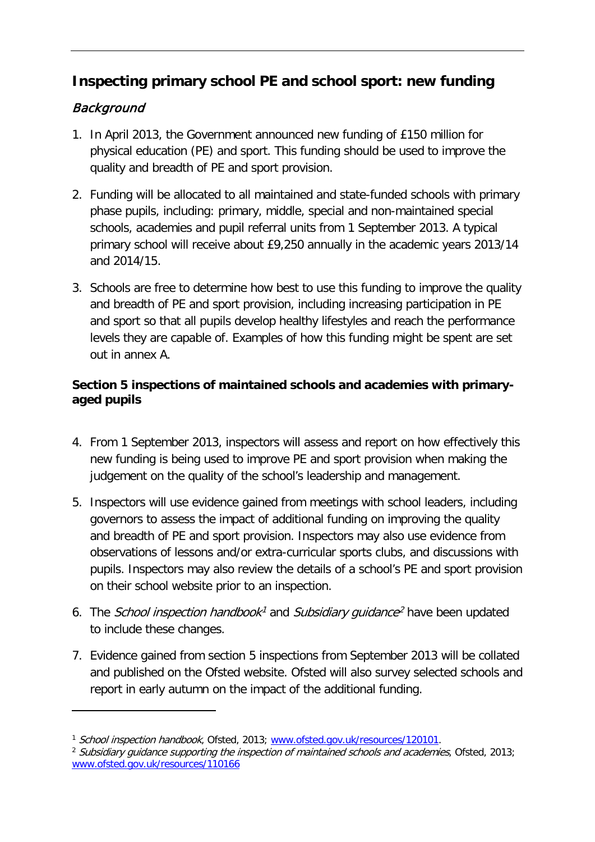# **Inspecting primary school PE and school sport: new funding**

## Background

- 1. In April 2013, the Government announced new funding of £150 million for physical education (PE) and sport. This funding should be used to improve the quality and breadth of PE and sport provision.
- 2. Funding will be allocated to all maintained and state-funded schools with primary phase pupils, including: primary, middle, special and non-maintained special schools, academies and pupil referral units from 1 September 2013. A typical primary school will receive about £9,250 annually in the academic years 2013/14 and 2014/15.
- 3. Schools are free to determine how best to use this funding to improve the quality and breadth of PE and sport provision, including increasing participation in PE and sport so that all pupils develop healthy lifestyles and reach the performance levels they are capable of. Examples of how this funding might be spent are set out in annex A.

#### **Section 5 inspections of maintained schools and academies with primaryaged pupils**

- 4. From 1 September 2013, inspectors will assess and report on how effectively this new funding is being used to improve PE and sport provision when making the judgement on the quality of the school's leadership and management.
- 5. Inspectors will use evidence gained from meetings with school leaders, including governors to assess the impact of additional funding on improving the quality and breadth of PE and sport provision. Inspectors may also use evidence from observations of lessons and/or extra-curricular sports clubs, and discussions with pupils. Inspectors may also review the details of a school's PE and sport provision on their school website prior to an inspection.
- 6. The School inspection handbook<sup>1</sup> and Subsidiary guidance<sup>[2](#page-2-1)</sup> have been updated to include these changes.
- 7. Evidence gained from section 5 inspections from September 2013 will be collated and published on the Ofsted website. Ofsted will also survey selected schools and report in early autumn on the impact of the additional funding.

<span id="page-2-1"></span><span id="page-2-0"></span><sup>&</sup>lt;sup>1</sup> School inspection handbook, Ofsted, 2013; [www.ofsted.gov.uk/resources/120101.](http://www.ofsted.gov.uk/resources/120101)<br><sup>2</sup> Subsidiary guidance supporting the inspection of maintained schools and academies, Ofsted, 2013; [www.ofsted.gov.uk/resources/110166](http://www.ofsted.gov.uk/resources/110166)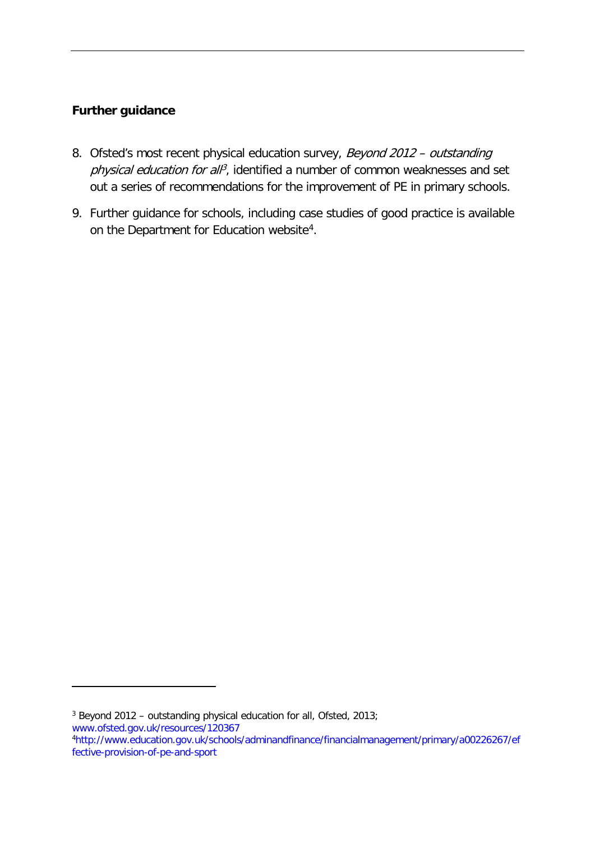#### **Further guidance**

- 8. Ofsted's most recent physical education survey, Beyond 2012 outstanding physical education for all<sup>[3](#page-3-0)</sup>, identified a number of common weaknesses and set out a series of recommendations for the improvement of PE in primary schools.
- 9. Further guidance for schools, including case studies of good practice is available on the Department for Education website<sup>4</sup>.

-

<span id="page-3-0"></span><sup>&</sup>lt;sup>3</sup> Beyond 2012 – outstanding physical education for all, Ofsted, 2013; [www.ofsted.gov.uk/resources/120367](http://www.ofsted.gov.uk/resources/120367)

<span id="page-3-1"></span>[<sup>4</sup>http://www.education.gov.uk/schools/adminandfinance/financialmanagement/primary/a00226267/ef](http://www.education.gov.uk/schools/adminandfinance/financialmanagement/primary/a00226267/effective-provision-of-pe-and-sport) [fective-provision-of-pe-and-sport](http://www.education.gov.uk/schools/adminandfinance/financialmanagement/primary/a00226267/effective-provision-of-pe-and-sport)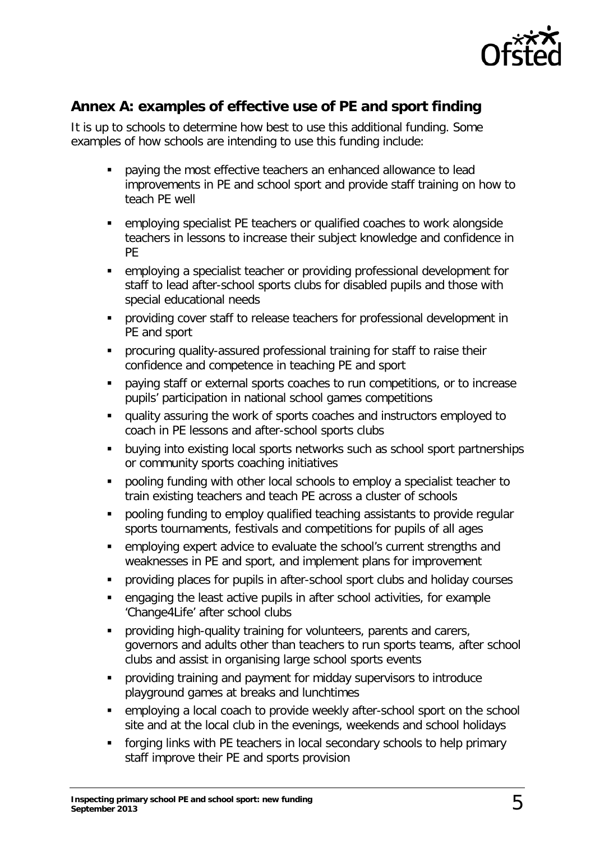

## **Annex A: examples of effective use of PE and sport finding**

It is up to schools to determine how best to use this additional funding. Some examples of how schools are intending to use this funding include:

- paying the most effective teachers an enhanced allowance to lead improvements in PE and school sport and provide staff training on how to teach PE well
- employing specialist PE teachers or qualified coaches to work alongside teachers in lessons to increase their subject knowledge and confidence in PE
- employing a specialist teacher or providing professional development for staff to lead after-school sports clubs for disabled pupils and those with special educational needs
- **•** providing cover staff to release teachers for professional development in PE and sport
- **•** procuring quality-assured professional training for staff to raise their confidence and competence in teaching PE and sport
- paying staff or external sports coaches to run competitions, or to increase pupils' participation in national school games competitions
- quality assuring the work of sports coaches and instructors employed to coach in PE lessons and after-school sports clubs
- **buying into existing local sports networks such as school sport partnerships** or community sports coaching initiatives
- pooling funding with other local schools to employ a specialist teacher to train existing teachers and teach PE across a cluster of schools
- pooling funding to employ qualified teaching assistants to provide regular sports tournaments, festivals and competitions for pupils of all ages
- employing expert advice to evaluate the school's current strengths and weaknesses in PE and sport, and implement plans for improvement
- providing places for pupils in after-school sport clubs and holiday courses
- engaging the least active pupils in after school activities, for example 'Change4Life' after school clubs
- **Peroviding high-quality training for volunteers, parents and carers,** governors and adults other than teachers to run sports teams, after school clubs and assist in organising large school sports events
- providing training and payment for midday supervisors to introduce playground games at breaks and lunchtimes
- employing a local coach to provide weekly after-school sport on the school site and at the local club in the evenings, weekends and school holidays
- forging links with PE teachers in local secondary schools to help primary staff improve their PE and sports provision